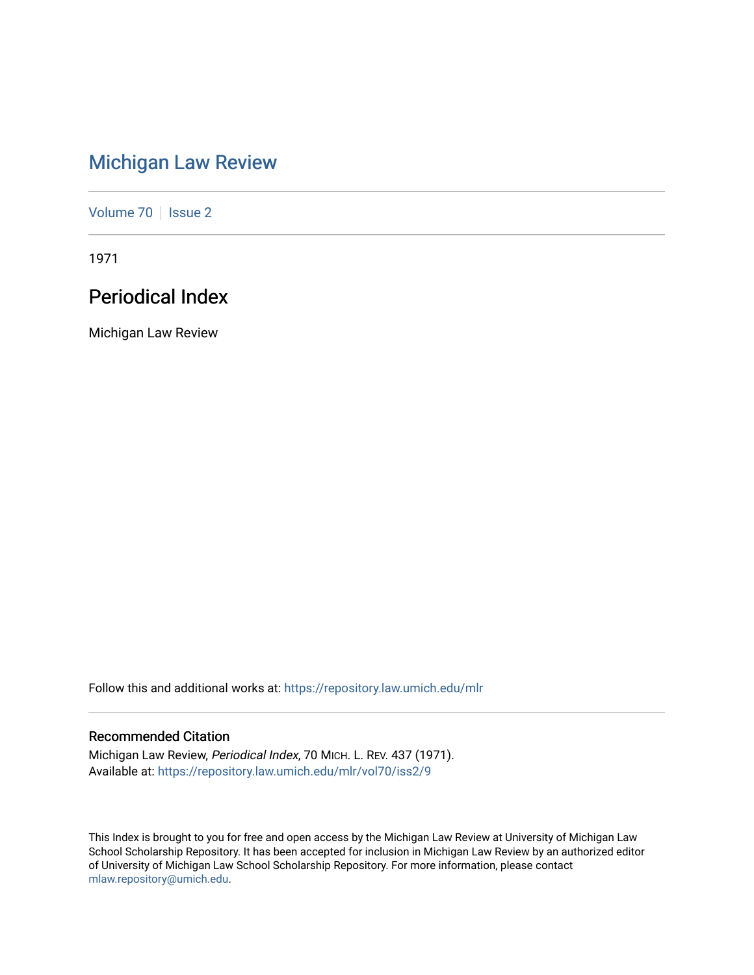# [Michigan Law Review](https://repository.law.umich.edu/mlr)

[Volume 70](https://repository.law.umich.edu/mlr/vol70) | [Issue 2](https://repository.law.umich.edu/mlr/vol70/iss2)

1971

## Periodical Index

Michigan Law Review

Follow this and additional works at: [https://repository.law.umich.edu/mlr](https://repository.law.umich.edu/mlr?utm_source=repository.law.umich.edu%2Fmlr%2Fvol70%2Fiss2%2F9&utm_medium=PDF&utm_campaign=PDFCoverPages) 

## Recommended Citation

Michigan Law Review, Periodical Index, 70 MICH. L. REV. 437 (1971). Available at: [https://repository.law.umich.edu/mlr/vol70/iss2/9](https://repository.law.umich.edu/mlr/vol70/iss2/9?utm_source=repository.law.umich.edu%2Fmlr%2Fvol70%2Fiss2%2F9&utm_medium=PDF&utm_campaign=PDFCoverPages)

This Index is brought to you for free and open access by the Michigan Law Review at University of Michigan Law School Scholarship Repository. It has been accepted for inclusion in Michigan Law Review by an authorized editor of University of Michigan Law School Scholarship Repository. For more information, please contact [mlaw.repository@umich.edu.](mailto:mlaw.repository@umich.edu)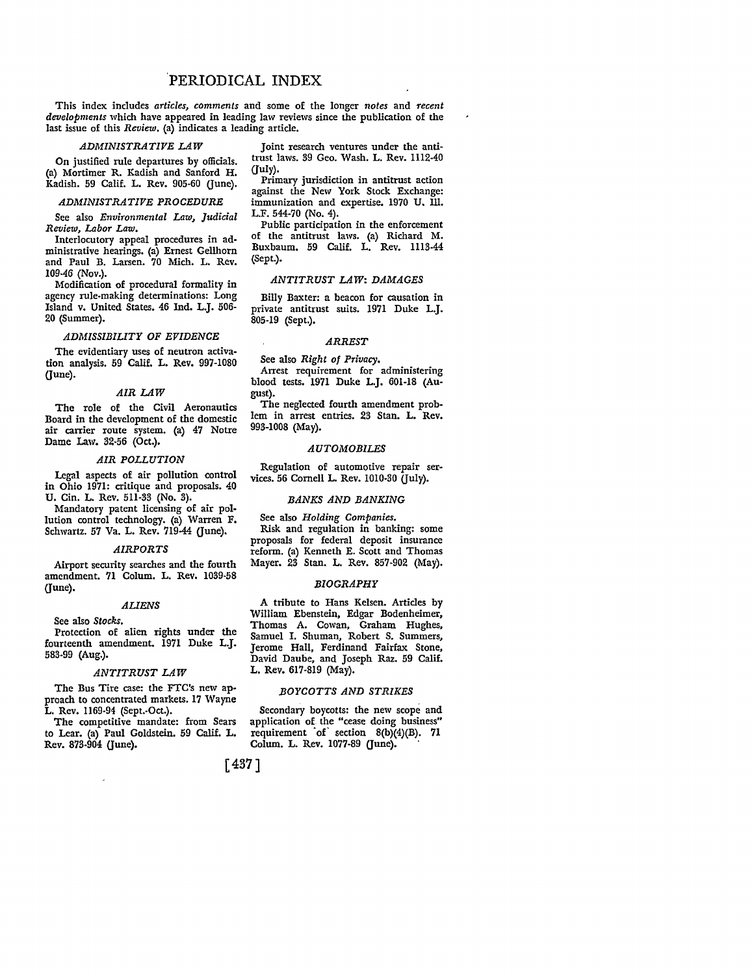### 'PERIODICAL INDEX

This index includes *articles, comments* and some of the longer *notes* and *recent developments* which have appeared in leading law reviews since the publication of the last issue of this *Review,* (a) indicates a leading article.

### *ADMINISTRATIVE LAW*

On justified rule departures by officials. (a) Mortimer R. Kadish and Sanford H. Kadish. 59 Calif. L. Rev. 905-60 (June).

### *ADMINISTRATIVE PROCEDURE*

See also *Environmental Law, Judicial Review, Labor Law.* 

Interlocutory appeal procedures in administrative hearings. (a) Ernest Gellhorn and Paul B. Larsen. 70 Mich. L. Rev. 109-46 (Nov.).

Modification of procedural formality in agency rule-making determinations: Long Island v. United States. 46 Ind. L.J. 506- 20 (Summer).

#### *ADMISSIBILITY OF EVIDENCE*

The evidentiary uses of neutron activation analysis. 59 Calif. L. Rev. 997-1080  $($ June $).$ 

### *AIR LAW*

The role of the Civil Aeronautics Board in the development of the domestic air carrier route system. (a) 47 Notre Dame Law. 32-56 (Oct.).

#### *AIR POLLUTION*

Legal aspects of air pollution control in Ohio 1971: critique and proposals. 40 U. Cin. L. Rev. 511-33 (No. 3).

Mandatory patent licensing of air pol• lution control technology. (a) Warren F. Schwartz. 57 Va. L. Rev. 719-44 (June).

### *AIRPORTS*

Airport security searches and the fourth amendment. 71 Colum. L. Rev. 1039-58 (June).

#### *AUENS*

See also *Stocks.* 

Protection of alien rights under the fourteenth amendment. 1971 Duke L.J. 583-99 (Aug.).

#### *ANTITRUST LAW*

The Bus Tire case: the FTC's new ap• proach to concentrated markets. 17 Wayne L, Rev. 1169-94 (Sept.-Oct.).

The competitive mandate: from Sears to Lear. (a) Paul Goldstein. 59 Calif. L. Rev. 873-904 (June).

Joint research ventures under the anti• trust laws. 39 Geo. Wash. L. Rev. 1112-40 (July).

Primary jurisdiction in antitrust action against the New York Stock Exchange: immunization and expertise. 1970 U. Ill. L.F. 544-70 (No. 4).

Public participation in the enforcement of the antitrust laws. (a) Richard M. Buxbaum. 59 Calif. L. Rev. 1113-44 (Sept.).

### *ANTITRUST LAW: DAMAGES*

Billy Baxter: a beacon for causation in private antitrust suits. 1971 Duke L.J. 805-19 (Sept.),

### *ARREST*

See also *Right of Privacy.* 

Arrest requirement for administering blood tests. 1971 Duke L.J. 601-18 (Au• gust).

The neglected fourth amendment problem in arrest entries. 23 Stan. L. Rev. 993-1008 (May).

### *AUTOMOBILES*

Regulation of automotive repair services. 56 Cornell L. Rev. 1010-30  $(Iuly)$ .

### *BANKS AND BANKING*

See also *Holding Companies.*  Risk and regulation in banking: some proposals for federal deposit insurance reform. (a) Kenneth E. Scott and Thomas Mayer. 23 Stan. L. Rev. 857-902 (May).

#### *BIOGRAPHY*

A tribute to Hans Kelsen. Articles by William Ebenstein, Edgar Bodenheimer, Thomas A. Cowan, Graham Hughes, Samuel I. Shuman, Robert S. Summers, Jerome Hall, Ferdinand Fairfax Stone, David Daube, and Joseph Raz. 59 Calif. L. Rev. 617-819 (May).

### *BOYCOTTS AND STRIKES*

Secondary boycotts: the new scope and application of the "cease doing business" requirement of section  $8(b)(4)(B)$ . 71 Colum. L. Rev. 1077-89 (June).

[ 437]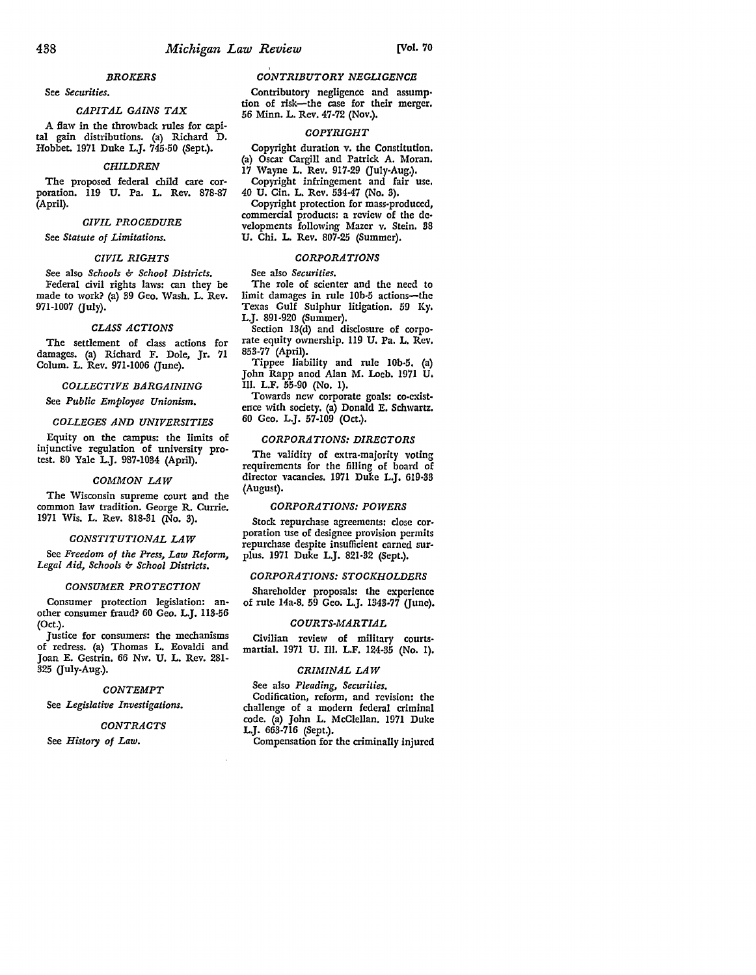### *BROKERS*

See *Securities.* 

### *CAPITAL GAINS TAX*

A flaw in the throwback rules for capital gain distributions. (a) Richard D. Hobbet. 1971 Duke L.J. 745-50 (Sept.).

#### *CHILDREN*

The proposed federal child care corporation. 119 U. Pa. L. Rev. 878-87 (April).

#### *CIVIL PROCEDURE*

See *Statute of Limitations.* 

#### *CIVIL RIGHTS*

See also *Schools & School Districts.*  Federal civil rights laws: can they be made to work? (a) 39 Geo. Wash. L. Rev. 971-1007 (July).

#### *CLASS ACTIONS*

The settlement of class actions for damages. (a) Richard F. Dole, Jr. 71 Colum. L. Rev. 971-1006 (June).

### *COLLECTIVE BARGAINING*

See *Public Employee Unionism.* 

### *COLLEGES AND UNIVERSITIES*

Equity on the campus: the limits of injunctive regulation of university protest. 80 Yale L.J. 987-1034 (April).

#### *COMMON LAW*

The Wisconsin supreme court and the common law tradition. George R. Currie. 1971 Wis. L. Rev. 818-31 (No. 3).

#### *CONSTITUTIONAL LAW*

See *Freedom of the Press, Law Reform, Legal Aid, Schools & School Districts.* 

### *CONSUMER PROTECTION*

Consumer protection legislation: another consumer fraud? 60 Geo. L.J. 113-56 (Oct.).

Justice for consumers: the mechanisms of redress. (a) Thomas L. Eovaldi and Joan E. Gestrin. 66 Nw. U. L. Rev. 281- 325 (July-Aug.).

### *CONTEMPT*

See *Legislative Investigations.* 

### *CONTRACTS*

See *History of Law.* 

### *CONTRIBUTORY NEGUGENCE*

Contributory negligence and assump• tion of risk-the case for their merger. 56 Minn. L. Rev. 47-72 (Nov.).

### *COPYRIGHT*

Copyright duration v. the Constitution. (a) Oscar Cargill and Patrick A. Moran.

17 Wayne L. Rev. 917-29 (July-Aug.). Copyright infringement and fair use.

40 U. Cin. L. Rev. 534.47 (No. 3), Copyright protection for mass-produced, commercial products: a review of the de• velopments following Mazer v. Stein. 38

U. Chi. L. Rev. 807-25 (Summer).

### *CORPORATIONS*

#### See also *Securities.*

The role of scienter and the need to limit damages in rule I0b-5 actions-the Texas Gulf Sulphur litigation. 59 Ky. L.J. 891·920 (Summer).

Section 13(d) and disclosure of corporate equity ownership. 119 U. Pa. L. Rev. 853-77 (April).

Tippee liability and rule 10b-5. (a) John Rapp anod Alan M. Loeb. 1971 U. Ill. L.F. 55-90 (No. 1).

Towards new corporate goals: co-exist• ence with society. (a) Donald E, Schwartz. 60 Geo. L.J. 57-109 (Oct.).

### *CORPORATIONS: DIRECTORS*

The validity of extra-majority voting requirements for the filling of board of director vacancies. 1971 Duke L,J. 619·33 (August).

#### *CORPORATIONS: POWERS*

Stock repurchase agreements: close cor• poration use of designee provision permits repurchase despite insufficient earned sur• plus. 1971 Duke L.J. 821-32 (Sept.).

### *CORPORATIONS: STOCKHOLDERS*

Shareholder proposals: the experience of rule 14a-8. 59 Geo. L.J. 1343-77 (June).

#### *COURTS-MARTIAL*

Civilian review of military courts• martial. 1971 U. Ill. L.F. 124-35 (No. 1).

### *CRIMINAL LAW*

See also *Pleading, Securities.*  Codification, reform, and revision: the challenge of a modern federal criminal code. (a) John L. McClellan. 1971 Duke L.J. 663-716 (Sept.).

Compensation for the criminally injured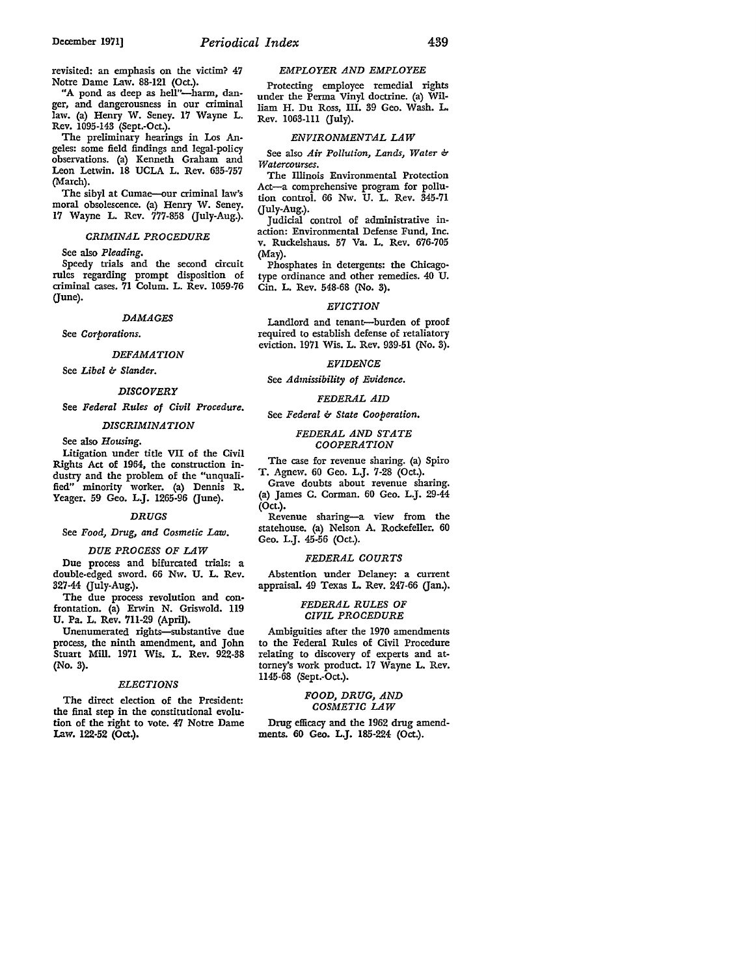revisited: an emphasis on the victim? 47 Notre Dame Law. 88-121 (Oct.).

"A pond as deep as hell"-harm, danger, and dangerousness in our criminal law. (a) Henry W. Seney. 17 Wayne L. Rev. 1095-143 (Sept.-Oct.).

The preliminary hearings in Los Angeles: some field findings and legal-policy observations. (a) Kenneth Graham and Leon Letwin. 18 UCLA L. Rev. 635-757 (March).

The sibyl at Cumae-our criminal law's moral obsolescence. (a) Henry W. Seney. 17 Wayne L. Rev. 777-858 Guly-Aug.).

### *CRIMINAL PROCEDURE*

See also *Pleading.* 

Speedy trials and the second circuit rules regarding prompt disposition of criminal cases. 71 Colum. L. Rev. 1059-76  $($  $|$ une $|$ .

### *DAMAGES*

See *Corporations.* 

### *DEFAMATION*

See *Libel* b *Slander.* 

#### *DISCOVERY*

See *Federal Rules of Civil Procedure.* 

#### *DISCRIMINATION*

See also *Housing.* 

Litigation under title VII of the Civil Rights Act of 1964, the construction industry and the problem of the "unqualified" minority worker. (a) Dennis R. Yeager. 59 Geo. L.J. 1265-96 (June).

#### *DRUGS*

#### See *Food, Drug, and Cosmetic Law.*

### *DUE PROCESS OF LAW*

Due process and bifurcated trials: a double-edged sword. 66 Nw. U. L. Rev. 827-44 Guly-Aug.).

The due process revolution and confrontation. (a) Envin N. Griswold. 119 U. Pa. L. Rev. 711-29 (April).

Unenumerated rights-substantive due process, the ninth amendment, and John Stuart Mill. 1971 Wis. L. Rev. 922-38 (No. 8).

### *ELECTIONS*

The direct election of the President: the final step in the constitutional evolution of the right to vote. 47 Notre Dame Law. 122-52 (Oct.).

#### *EMPLOYER AND EMPLOYEE*

Protecting employee remedial rights under the Perma Vinyl doctrine. (a) William H. Du Ross, III. 89 Geo. Wash. L. Rev. 1068-111 (July).

#### **ENVIRONMENTAL LAW**

See also *Air Pollution, Lands, Water* b *Watercourses.* 

The Illinois Environmental Protection Act-a comprehensive program for pollution control. 66 Nw. U. L. Rev. 345-71 (July-Aug.).

Judicial control of administrative inaction: Environmental Defense Fund, Inc. v. Ruckelshaus. 57 Va. L. Rev. 676-705 (May).

Phosphates in detergents: the Chicagotype ordinance and other remedies. 40 U. Cin. L. Rev. 548-68 (No. 3).

### *EVICTION*

Landlord and tenant-burden of proof required to establish defense of retaliatory eviction. 1971 Wis. L. Rev. 939-51 (No. 3).

#### *EVIDENCE*

See *Admissibility of Evidence.* 

#### *FEDERAL AID*

See *Federal* b *State Cooperation.* 

### *FEDERAL AND STATE COOPERATION*

The case for revenue sharing. (a) Spiro T. Agnew. 60 Geo. L.J. 7-28 (Oct.).

Grave doubts about revenue sharing. (a) James C. Corman. 60 Geo. L.J. 29-44 (Oct.).

Revenue sharing-a view from the statehouse. (a) Nelson A. Rockefeller. 60 Geo. L.J. 45-56 (Oct.).

#### *FEDERAL COURTS*

Abstention under Delaney: a current appraisal.  $49$  Texas L. Rev.  $247-66$  (Jan.).

### *FEDERAL RULES OF CIVIL PROCEDURE*

Ambiguities after the 1970 amendments to the Federal Rules of Civil Procedure relating to discovery of experts and attorney's work product. 17 Wayne L. Rev. 1145-68 (Sept.-Oct.).

### *FOOD, DRUG, AND COSMETIC LAW*

Drug efficacy and the 1962 drug amendments. 60 Geo. L.J. 185-224 (Oct.).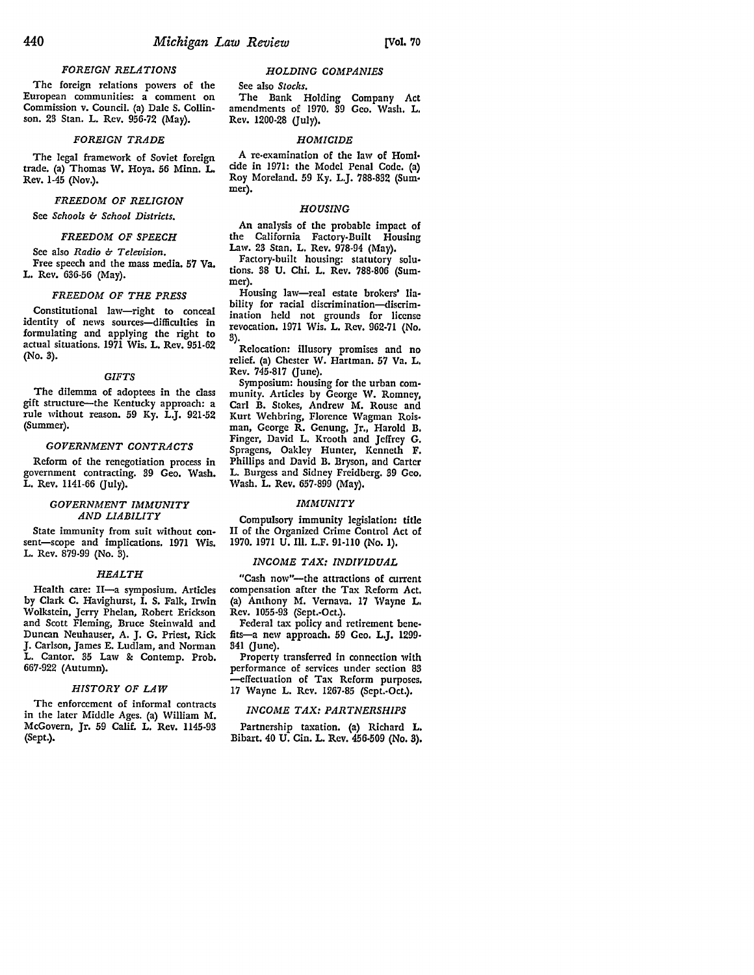### *FOREIGN RELATIONS*

The foreign relations powers of the European communities: a comment on Commission v. Council. (a) Dale S. Collinson. 23 Stan. L. Rev, 956-72 (May).

#### *FOREIGN TRADE*

The legal framework of Soviet foreign trade. (a) Thomas W, Hoya. 56 Minn. L. Rev. 1-45 (Nov.).

### *FREEDOM OF RELIGION*

See *Schools & School Districts.* 

### *FREEDOM OF SPEECH*

See also *Radio b Television.*  Free speech and the mass media. 57 Va. L. Rev. 636-56 (May).

### *FREEDOM OF THE PRESS*

Constitutional law-right to conceal identity of news sources-difficulties in formulating and applying the right to actual situations. 1971 Wis. L. Rev. 951-62 (No. 3).

#### *GIFTS*

The dilemma of adoptees in the class gift structure-the Kentucky approach: a rule without reason. 59 Ky. L.J. 921·52 (Summer).

### *GOVERNMENT CONTRACTS*

Reform of the renegotiation process in government contracting. 39 Geo. Wash. L. Rev. 1141-66 (July).

### *GOVERNMENT IMMUNITY AND LIABILITY*

State immunity from suit without con• sent-scope and implications. 1971 Wis. L. Rev. 879-99 (No. 3).

#### *HEALTH*

Health care: II-a symposium. Articles by Clark C. Havighurst, I. S. Falk, Irwin Wolkstein, Jerry Phelan, Robert Erickson and Scott Fleming, Bruce Steinwald and Duncan Neuhauser, A. J. G. Priest, Rick **J.** Carlson, James E. Ludlam, and Norman L. Cantor. 35 Law & Contemp. Prob. 667-922 (Autumn).

#### *HISTORY OF LAW*

The enforcement of informal contracts in the later Middle Ages. (a) William M. McGovern, Jr. 59 Calif. L. Rev. 1145-93 (Sept.).

### *HOLDING COMPANIES*

See also *Stoclis.* 

The Bank Holding Company Act amendments of 1970. 39 Geo. Wash. L. Rev. 1200-28 (July).

#### *HOMICIDE*

A re-examination of the Jaw of Homl• cide in 1971: the Model Penal Code. (a) Roy Moreland. 59 Ky. L.J. 788-832 (Sum• mer).

### *HOUSING*

An analysis of the probable impact of the California Factory-Built Housing Law. 23 Stan. L. Rev. 978-94 (May).

Factory-built housing: statutory solu• tions. 38 U. Chi. L. Rev. 788-806 (Summer).

Housing law-real estate brokers' lia• bility for racial discrimination-discrimination held not grounds for license revocation. 1971 Wis. L. Rev. 962-71 (No. 3).

Relocation: illusory promises and no relief. (a) Chester W. Hartman. 57 Va. L, Rev. 745-817 (June).

Symposium: housing for the urban com• munity. Articles by George W. Romney, Carl B. Stokes, Andrew M. Rouse and Kurt Wehbring, Florence Wagman Rois, man, George R. Genung, Jr., Harold **B,**  Finger, David **L.** Krooth and Jeffrey *G.*  Spragens, Oakley Hunter, Kenneth F. Phillips and David B. Bryson, and Carter L. Burgess and Sidney Freidberg. 39 Geo. Wash. L. Rev. 657-899 (May).

#### *IMMUNITY*

Compulsory immunity legislation: title II of the Organized Crime Control Act of 1970. 1971 U. Ill. L.F. 91-110 (No. 1).

#### *INCOME TAX: INDIVIDUAL*

"Cash now"-the attractions of current compensation after the Tax Reform Act. (a) Anthony M. Vernava. 17 Wayne L. Rev. 1055-93 (Sept.-Oct.).

Federal tax policy and retirement benefits-a new approach. 59 Geo. L.J. 1299-341 (June).

Property transferred in connection with performance of services under section 83 -effectuation of Tax Reform purposes. 17 Wayne L. Rev. 1267-85 (Scpt.-Oct.).

### *INCOME TAX: PARTNERSHIPS*

Partnership taxation. (a) Richard L. Bibart. 40 U. Cin. L. Rev. 456-509 (No. 3).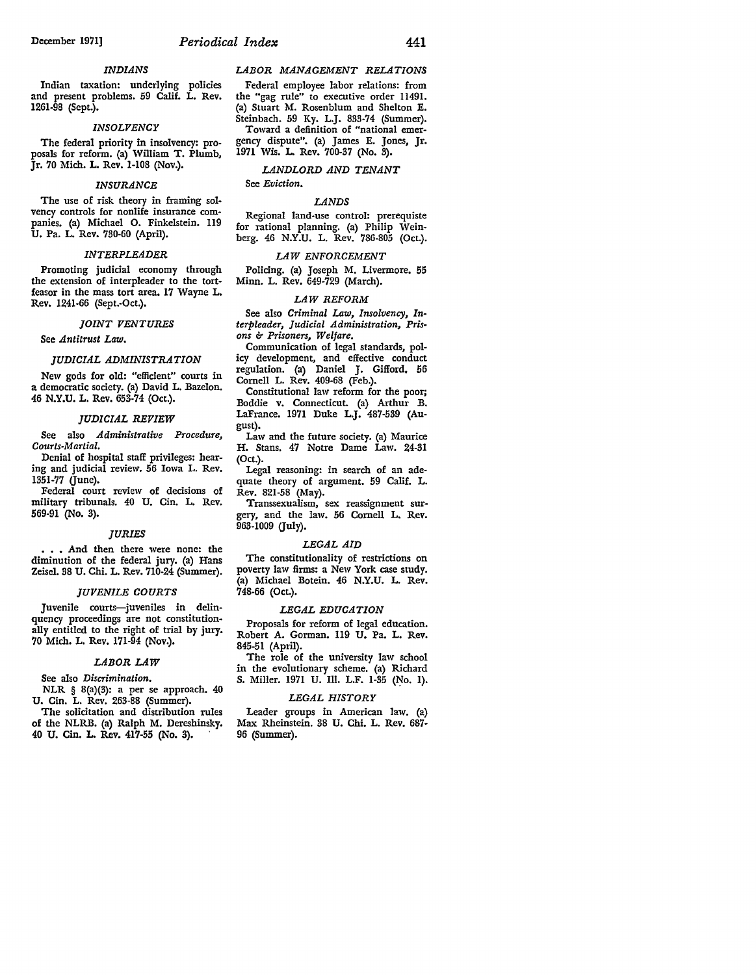### *INDIANS*

Indian taxation: underlying policies and present problems. 59 Calif. L. Rev. 1261-98 (Sept.).

### *INSOLVENCY*

The federal priority in insolvency: proposals for reform. (a) William T. Plumb, Jr. 70 Mich. **L.** Rev. 1-108 (Nov.).

### *INSURANCE*

The use of risk theory in framing solvency controls for nonlife insurance companies. (a) Michael 0. Finkelstein. 119 U. Pa. L. Rev. 730-60 (April).

#### *INT ERP LEADER*

Promoting judicial economy through the extension of interpleader to the tortfeasor in the mass tort area. 17 Wayne L. Rev. 1241-66 (Sept.-Oct.).

#### *JOINT VENTURES*

See *Antitrust Law.* 

### *JUDICIAL ADMINISTRATION*

New gods for old: "efficient" courts in a democratic society. (a) David L. Bazelon. 46 N.Y,U. L. Rev. 653-74 (Oct.).

### *JUDICIAL REVIEW*

See also *Administrative Procedure, Courts-Martial.* 

Denial of hospital staff privileges: hearing and judicial review. 56 Iowa L. Rev. 1351-77 (June).

Federal court review of decisions of military tribunals. 40 U. Cin. L. Rev. 569-91 (No. 3).

#### *JURIES*

• • • And then there were none: the diminution of the federal jury. (a) Hans Zeisel. 38 U. Chi. L. Rev. 710-24 (Summer).

### *JUVENILE COURTS*

Juvenile courts-juveniles in delinquency proceedings are not constitutionally entitled to the right of trial by jury. 70 Mich. L. Rev. 171-94 (Nov.).

### *LABOR LAW*

See also *Discrimination.* 

NLR § 8(a)(3): a per se approach. 40 U. Cin. L. Rev. 263-88 (Summer).

The solicitation and distribution rules of the NLRB. (a) Ralph M. Dereshinsky. 40 U. Cin. L. Rev. 417-55 (No. 3). ·

#### *LABOR MANAGEMENT RELATIONS*

Federal employee labor relations: from the "gag rule" to executive order 11491. (a) Stuart M. Rosenblum and Shelton E. Steinbach. 59 Ky. L.J. 833-74 (Summer). Toward a definition of "national emergency dispute". (a) James E. Jones, Jr. 1971 *Wis.* L Rev. 700-37 (No. 3).

*LANDLORD AND TENANT* 

### See *Eviction.*

### *LANDS*

Regional land-use control: prerequiste for rational planning. (a) Philip Weinberg. 46 N.Y.U. L. Rev. 786-805 (Oct.).

#### *LAW ENFORCEMENT*

Policing. (a) Joseph M. Livermore. 55 Minn. L. Rev. 649-729 (March).

#### *LAW REFORM*

See also *Criminal Law, Insolvency, Interpleader, Judicial Administration, Prisons b Prisoners, Welfare.* 

Communication of legal standards, policy development, and effective conduct regulation. (a) Daniel J. Gifford, 56 Cornell L. Rev. 409-68 (Feb.).

Constitutional law reform for the poor; Boddie v. Connecticut. (a) Arthur B. LaFrance. 1971 Duke L.J. 487-539 (August).

Law and the future society. (a) Maurice H. Stans. 47 Notre Dame Law. 24-31 (Oct.).

Legal reasoning: in search of an ade• quate theory of argument. 59 Calif. L. Rev. 821-58 (May).

Transsexualism, sex reassignment surgery, and the law. 56 Cornell L. Rev. 963-1009 (July).

#### *LEGAL AID*

The constitutionality of restrictions on poverty law firms: a New York case study. (a) Michael Botein. 46 N.Y.U. L. Rev. 748-66 (Oct.).

#### *LEGAL EDUCATION*

Proposals for reform of legal education. Robert A. Gorman. 119 U. Pa. L. Rev. 845-51 (April).

The role of the university law school in the evolutionary scheme. (a) Richard S. Miller. 1971 U. Ill. L.F. 1-35 (No. **1).** 

#### *LEGAL HISTORY*

Leader groups in American law. (a) Max Rheinstein. 38 U. Chi. L. Rev. 687- 96 (Summer).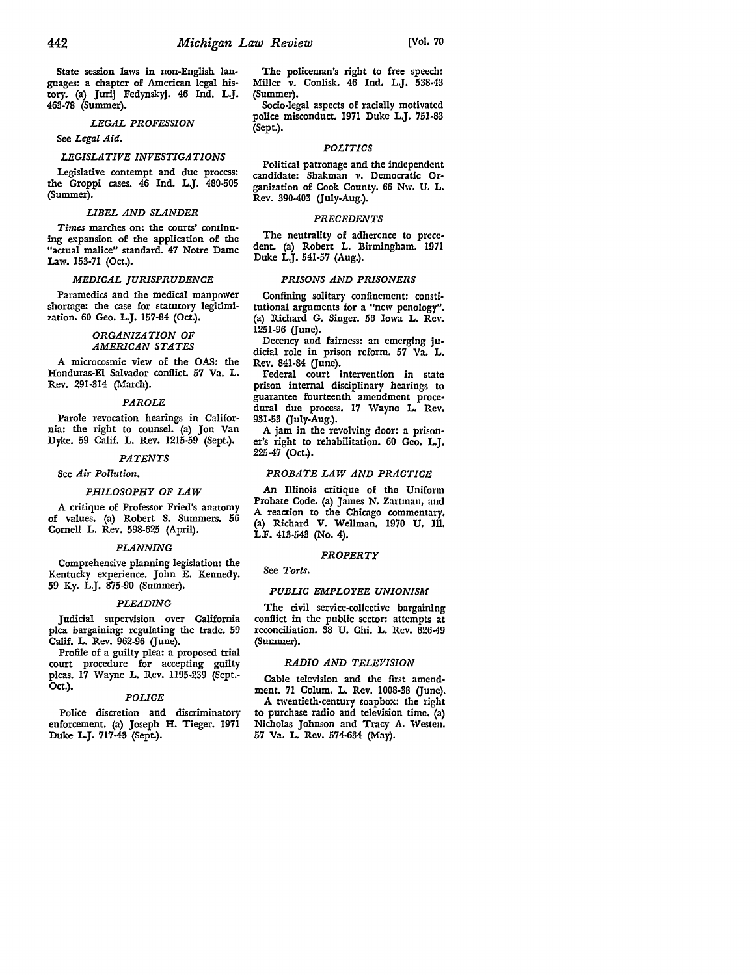State session laws in non-English languages: a chapter of American legal history. (a) Jurij Fedynskyj. 46 Ind, **L.J.**  463-78 (Summer).

### *LEGAL PROFESSION*

### See *Legal Aid.*

### *LEGISLATIVE INVESTIGATIONS*

Legislative contempt and due process: the Groppi cases. 46 Ind. L.J. 480-505 (Summer).

### *LIBEL AND SLANDER*

*Times* marches on: the courts' continuing expansion of the application of the "actual malice" standard. 47 Notre Dame Law. 153-71 (Oct.).

#### *MEDICAL JURISPRUDENCE*

Paramedics and the medical manpower shortage: the case for statutory legitimization. 60 Geo. L.J. 157-84 (Oct.).

### *ORGANIZATION OF AMERICAN STATES*

**A** microcosmic view of the OAS: the Honduras-El Salvador conflict. 57 Va. L. Rev. 291-314 (March).

### *PAROLE*

Parole revocation hearings in California: the right to counsel. (a) Jon Van Dyke. 59 Calif. L. Rev. 1215-59 (Sept.).

### *PATENTS*

### See *Air Pollution.*

#### *PHILOSOPHY OF LAW*

A critique of Professor Fried's anatomy of values. (a) Robert S. Summers. 56 Cornell L. Rev. 598-625 (April).

#### *PLANNING*

Comprehensive planning legislation: the Kentucky experience. John E. Kennedy. 59 Ky. L.J. 875-90 (Summer).

#### *PLEADING*

Judicial supervision over California plea bargaining: regulating the trade. 59 Calif. L. Rev. 962-96 Gune).

Profile of a guilty plea: a proposed trial court procedure for accepting guilty pleas. 17 Wayne L. Rev. 1195-239 (Sept.- Oct.).

### *POLICE*

Police discretion and discriminatory enforcement. (a) Joseph H. Tieger. 1971 Duke **L.J.** 717-43 (Sept.).

The policeman's right to free speech: Miller v. Conlisk. 46 Ind. L.J. 538-43 (Summer).

Socio-legal aspects of racially motivated police misconduct. 1971 Duke L.J. 751·83 (Sept.).

#### *POLITICS*

Political patronage and the independent candidate: Shakman v. Democratic Organization of Cook County. 66 Nw. U. L. Rev. 390-403 (July-Aug.).

### *PRECEDENTS*

The neutrality of adherence to precedent. (a) Robert L. Birmingham, 1971 Duke L.J. 541-57 (Aug.).

#### *PRISONS AND PRISONERS*

Confining solitary confinement: constitutional arguments for a "new penology". (a) Richard G. Singer. 56 Iowa L. Rev. 1251-96 (June).

Decency and fairness: an emerging judicial role in prison reform, 57 Va, L. Rev. 841-84 Gune).

Federal court intervention in state prison internal disciplinary hearings to guarantee fourteenth amendment proce• dural due process. 17 Wayne L. Rev. 931-53 (July-Aug.).

A jam in the revolving door: a prison• er's right to rehabilitation. 60 Geo. L.J, 225-47 (Oct.).

### *PROBATE LAW AND PRACTICE*

An Illinois critique of the Uniform Probate Code. (a) James N. Zartman, and A reaction to the Chicago commentary. (a) Richard V. Wellman, 1970 U. Ill, L.F. 413-543 (No. 4).

#### *PROPERTY*

### See *Torts.*

#### *PUBLIC EMPLOYEE UNIONISM*

The civil service-collective bargaining conflict in the public sector: attempts at reconciliation. 38 U. Chi. L. Rev. 826•49 (Summer).

### *RADIO AND TELEVISION*

Cable television and the first amendment. 71 Colum. L. Rev. 1008-38 (June). A twentieth-century soapbox: the right to purchase radio and television time. (a) Nicholas Johnson and Tracy A. Westen. 57 Va. L. Rev. 574-634 (May).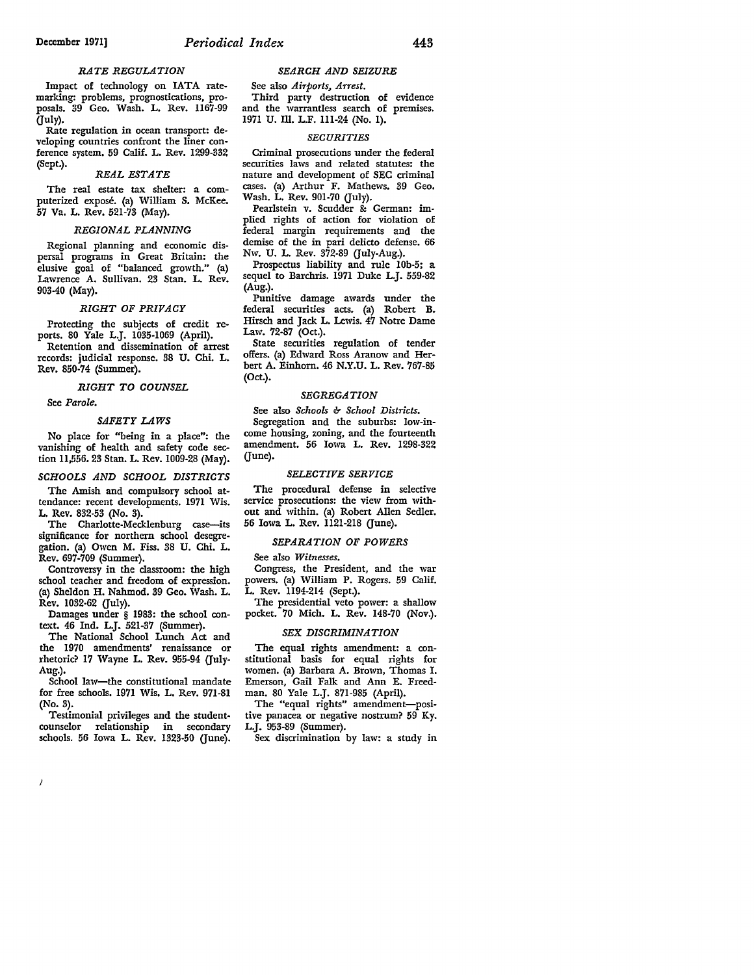#### *RATE REGULATION*

Impact of technology on IATA ratemarking: problems, prognostications, proposals. 39 Geo. Wash. L. Rev. 1167-99 (July).

Rate regnlation in ocean transport: developing countries confront the liner conference system. 59 Calif. L. Rev. 1299-332 (Sept.).

#### *REAL ESTATE*

The real estate tax shelter: a computerized expose. (a) William S. McKee. 57 Va. L. Rev. 521-73 (May).

#### *REGIONAL PLANNING*

Regional planning and economic dispersal programs in Great Britain: the elusive goal of "balanced growth." (a) Lawrence A. Sullivan. 23 Stan. L. Rev. 903-40 (May).

#### *RIGHT OF PRIVACY*

Protecting the subjects of credit reports. 80 Yale L.J. 1035-1069 (April).

Retention and dissemination of arrest records: judicial response. 38 U. Chi. L. Rev. 850-74 (Summer).

*RIGHT TO COUNSEL* 

See *Parole.* 

 $\overline{t}$ 

### *SAFETY LAWS*

No place for "being in a place": the vanishing of health and safety code section 11,556. 23 Stan. **L.** Rev. 1009-28 (May).

#### *SCHOOLS AND SCHOOL DISTRICTS*

The Amish and compulsory school attendance: recent developments. 1971 Wis. L. Rev. 832-53 (No. 3).

The Charlotte-Mecklenburg case-its significance for northern school desegregation. (a) Owen M. Fiss. 38 U. Chi. L. Rev. 697-709 (Summer).

Controversy in the classroom: the high school teacher and freedom of expression. (a) Sheldon H. Nahmod. 39 Geo. Wash. L. Rev. 1032-62 (July).

Damages under § 1983: the school context. 46 Ind. L.J. 521-37 (Summer).

The National School Lunch Act and the 1970 amendments' renaissance or rhetoric? 17 Wayne L. Rev. 955-94 (July-Aug.).

School law-the constitutional mandate for free schools. 1971 Wis. L. Rev. 971-81 (No. 3).

Testimonial privileges and the studentcounselor relationship in secondary schools. 56 Iowa L. Rev. 1323-50 (June).

#### *SEARCH AND SEIZURE*

See also *Airports, Arrest.* 

Third party destruction of evidence and the warrantless search of premises. 1971 U. Ill. L.F. 111-24 (No. I).

#### *SECURITIES*

Criminal prosecutions under the federal securities laws and related statutes: the nature and development of SEC criminal cases. (a) Arthur F. Mathews. 39 Geo. Wash. L. Rev. 901-70 (July).

Pearlstein v. Scudder & German: implied rights of action for violation of federal margin requirements and the demise of the in pari delicto defense. 66 Nw. U. L. Rev. 372-89 (July-Aug.).

Prospectus liability and rule I0b-5; a sequel to Barchris. 1971 Duke L.J. 559-82 (Aug.).

Punitive damage awards under the federal securities acts. (a) Robert B. Hirsch and Jack L. Lewis. 47 Notre Dame Law. 72-87 (Oct.).

State securities regulation of tender offers. (a) Edward Ross Aranow and Herbert A. Einhorn. 46 N.Y.U. L. Rev. 767-85 (Oct.).

#### *SEGREGATION*

See also *Schools* & *School Districts*. Segregation and the suburbs: low-income housing, zoning, and the fourteenth amendment. 56 Iowa L. Rev. 1298-322  $($ June $).$ 

#### *SELECTIVE SERVICE*

The procedural defense in selective service prosecutions: the view from without and within. (a) Robert Allen Sedler. 56 Iowa L. Rev. 1121-218 (June).

### *SEPARATION OF POWERS*

See also *Witnesses.* 

Congress, the President, and the war powers. (a) William P. Rogers. 59 Calif. L. Rev. 1194-214 (Sept.).

The presidential veto power: a shallow pocket. 70 Mich. L. Rev. 148-70 (Nov.).

#### *SEX DISCRIMINATION*

The equal rights amendment: a constitutional basis for equal rights for women. (a) Barbara A. Brown, Thomas I. Emerson, Gail Falk and Ann E. Freedman. 80 Yale L.J. 871-985 (April).

The "equal rights" amendment-positive panacea or negative nostrum? 59 Ky. L.J. 953-89 (Summer).

Sex discrimination by law: a study in